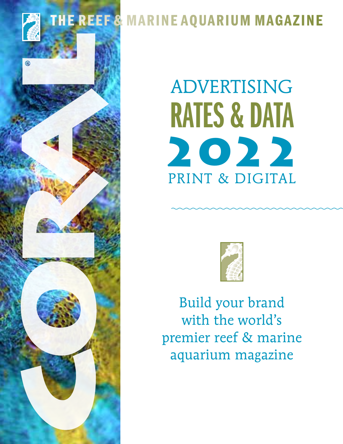THE REEF & MARINE AQUARIUM MAGAZINE

 $\circledR$ 

## ADVERTISING RATES & DATA 2022 PRINT & DIGITAL



Build your brand with the world's premier reef & marine aquarium magazine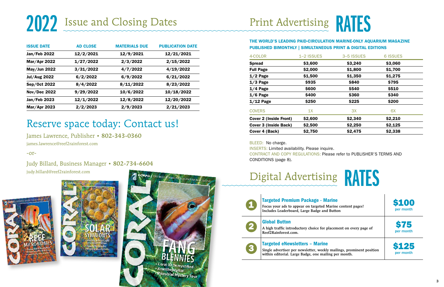## 2022 Issue and Closing Dates

| <b>ISSUE DATE</b>   | <b>AD CLOSE</b> | <b>MATERIALS DUE</b> | <b>PUBLICATION DATE</b> |
|---------------------|-----------------|----------------------|-------------------------|
| <b>Jan/Feb 2022</b> | 12/2/2021       | 12/9/2021            | 12/21/2021              |
| <b>Mar/Apr 2022</b> | 1/27/2022       | 2/3/2022             | 2/15/2022               |
| May/Jun 2022        | 3/31/2022       | 4/7/2022             | 4/19/2022               |
| <b>Jul/Aug 2022</b> | 6/2/2022        | 6/9/2022             | 6/21/2022               |
| Sep/Oct 2022        | 8/4/2022        | 8/11/2022            | 8/23/2022               |
| <b>Nov/Dec 2022</b> | 9/29/2022       | 10/6/2022            | 10/18/2022              |
| <b>Jan/Feb 2023</b> | 12/1/2022       | 12/8/2022            | 12/20/2022              |
| <b>Mar/Apr 2023</b> | 2/2/2023        | 2/9/2023             | 2/21/2023               |

## Reserve space today: Contact us!

James Lawrence, Publisher • 802-343-0360

james.lawrence@reef2rainforest.com

-or-

Judy Billard, Business Manager • 802-734-6604

judy.billard@reef2rainforest.com







## Print Advertising RATES

### THE WORLD'S LEADING PAID-CIRCULATION MARINE-ONLY AQUARIUM MAGAZINE PUBLISHED BIMONTHLY | SIMULTANEOUS PRINT & DIGITAL EDITIONS

| 4-COLOR                       | 1-2 ISSUES | 3-5 ISSUES | <b>6 ISSUES</b> |
|-------------------------------|------------|------------|-----------------|
| <b>Spread</b>                 | \$3,600    | \$3,240    | \$3,060         |
| <b>Full Page</b>              | \$2,000    | \$1,800    | \$1,700         |
| $1/2$ Page                    | \$1,500    | \$1,350    | \$1,275         |
| $1/3$ Page                    | \$935      | \$840      | \$795           |
| $1/4$ Page                    | \$600      | \$540      | \$510           |
| $1/6$ Page                    | \$400      | \$360      | \$340           |
| $1/12$ Page                   | \$250      | \$225      | \$200           |
| <b>COVERS</b>                 | 1X         | 3X         | 6X              |
| <b>Cover 2 (Inside Front)</b> | \$2,600    | \$2,340    | \$2,210         |
| <b>Cover 3 (Inside Back)</b>  | \$2,500    | \$2,250    | \$2,125         |
| Cover 4 (Back)                | \$2,750    | \$2,475    | \$2,338         |

BLEED: No charge.

INSERTS: Limited availability. Please inquire. CONTRACT AND COPY REGULATIONS: Please refer to PUBLISHER'S TERMS AND CONDITIONS (page 8).

## Digital Advertising RATES





| 1 | <b>Targeted Premium Package - Marine</b><br>Focus your ads to appear on targeted Marine content pages!<br>Includes Leaderboard, Large Badge and Button                  | \$100<br>per month        |
|---|-------------------------------------------------------------------------------------------------------------------------------------------------------------------------|---------------------------|
| 2 | <b>Global Button</b><br>A high traffic introductory choice for placement on every page of<br>Reef2Rainforest.com.                                                       | \$75<br>per month         |
| 3 | <b>Targeted eNewsletters - Marine</b><br>Single advertiser per newsletter, weekly mailings, prominent position<br>within editorial. Large Badge, one mailing per month. | <b>\$125</b><br>per month |





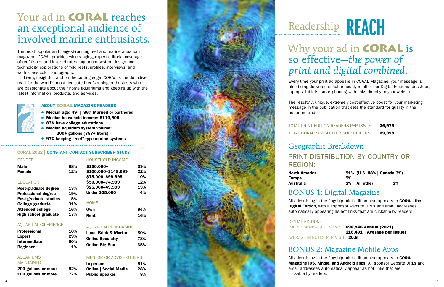## Your ad in CORAL reaches an exceptional audience of involved marine enthusiasts.

The most popular and longest-running reef and marine aquarium magazine, *CORAL* provides wide-ranging, expert editorial coverage of reef fishes and invertebrates, aquarium system design and technology, explorations of wild reefs, profiles, interviews, and world-class color photography.

Lively, insightful, and on the cutting edge, *CORAL* is the definitive read for the world's most-dedicated reefkeeping enthusiasts who are passionate about their home aquariums and keeping up with the latest information, products, and services.



#### ABOUT CORAL MAGAZINE READERS

- Median age: 49 | 86% Married or partnered
- Median household income: \$110,500
- 83% have college educations
- Median aquarium system volume: 200+ gallons (757+ liters)
- 97% keeping "reef"-type marine systems

## Why your ad in **CORAL** is so effective—*the power of print and digital combined* .

#### CORAL 2022 | CONSTANT CONTACT SUBSCRIBER STUDY

IMPRESSIONS/PAGE VIEWS: 698,946 Annual (2021) 116,491 [Average per issue] AVERAGE MINUTES PER VISIT: 20.8

#### AQUARIUM EXPERIENCE

| <b>Professional</b> | 10% | <b>Local Brick &amp; Mortar</b> |
|---------------------|-----|---------------------------------|
| <b>Expert</b>       | 29% | <b>Online Specialty</b>         |
| <b>Intermediate</b> | 50% |                                 |
| <b>Beginner</b>     | 11% | <b>Online Big Box</b>           |

| <b>GENDER</b>                |     | <b>HOUSEHOLD INCOME</b> |     |
|------------------------------|-----|-------------------------|-----|
| <b>Male</b>                  | 88% | \$150,000+              | 39% |
| <b>Female</b>                | 12% | \$100,000-\$149,999     | 22% |
|                              |     | \$75,000-\$99,999       | 10% |
| <b>EDUCATION</b>             |     | \$50,000-74,999         | 12% |
| Post-graduate degree         | 13% | \$25,000-49,999         | 13% |
| <b>Professional degree</b>   | 19% | <b>Under \$25,000</b>   | 4%  |
| <b>Post-graduate studies</b> | 5%  |                         |     |
| <b>College graduate</b>      | 31% | <b>HOME</b>             |     |
| <b>Attended college</b>      | 16% | Own                     | 84% |
| <b>High school graduate</b>  | 17% | Rent                    | 16% |

#### AQUARIUMS MAINTAINED

| 200 gallons or more | 52% |
|---------------------|-----|
| 100 gallons or more | 77% |

#### AQUARIUM PURCHASING

| 'n     | <b>Local Brick &amp; Mortar</b> | 80% |
|--------|---------------------------------|-----|
| 6<br>6 | <b>Online Specialty</b>         | 78% |
| 'n     | <b>Online Big Box</b>           | 35% |

#### MENTOR OR ADVISE OTHERS

| In person                    | 51% |
|------------------------------|-----|
| <b>Online   Social Media</b> | 28% |
| <b>Public Speaker</b>        | 8%  |



# Readership REACH

## Geographic Breakdown REGION:

Europe 5%

## PRINT DISTRIBUTION BY COUNTRY OR

North America 91% (U.S. 88% | Canada 3%) Australia 2% All other 2%

### BONUS 1: Digital Magazine

All advertising in the flagship print edition also appears in *CORAL*, the **Digital Edition, with all sponsor website URLs and email addresses** automatically appearing as hot links that are clickable by readers.

DIGITAL EDITION :

### BONUS 2: Magazine Mobile Apps

All advertising in the flagship print edition also appears in *CORAL*  Magazine iOS, Kindle, and Android apps. All sponsor website URLs and email addresses automatically appear as hot links that are clickable by readers.

Every time your print ad appears in *CORAL* Magazine, your message is also being delivered simultaneously in all of our Digital Editions (desktops, laptops, tablets, smartphones) with links directly to your website.

The result? A unique, extremely cost-effective boost for your marketing message in the publication that sets the standard for quality in the

aquarium trade.

TOTAL PRINT EDITION READERS PER ISSUE: 36,976 TOTAL CORAL NEWSLETTER SUBSCRIBERS: 29,358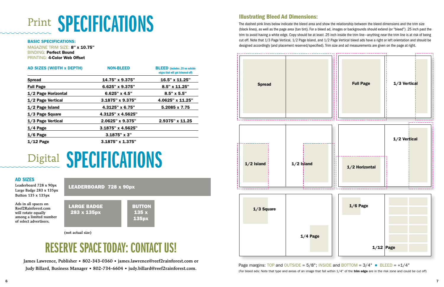# Digital SPECIFICATIONS



#### BASIC SPECIFICATIONS:

MAGAZINE TRIM SIZE: 8" x 10.75" BINDING: Perfect Bound PRINTING: 4-Color Web Offset

| AD SIZES (WIDTH x DEPTH) | <b>NON-BLEED</b>  | <b>BLEED</b> (includes .25 on outside<br>edges that will get trimmed off) |
|--------------------------|-------------------|---------------------------------------------------------------------------|
| <b>Spread</b>            | 14.75" x 9.375"   | 16.5" x 11.25"                                                            |
| <b>Full Page</b>         | 6.625" x 9.375"   | 8.5" x 11.25"                                                             |
| 1/2 Page Horizontal      | 6.625" x 4.5"     | $8.5" \times 5.5"$                                                        |
| 1/2 Page Vertical        | 3.1875" x 9.375"  | 4.0625" x 11.25"                                                          |
| $1/2$ Page Island        | 4.3125" x 6.75"   | 5.2085 x 7.75                                                             |
| 1/3 Page Square          | 4.3125" x 4.5625" |                                                                           |
| 1/3 Page Vertical        | 2.0625" x 9.375"  | 2.9375" x 11.25                                                           |
| $1/4$ Page               | 3.1875" x 4.5625" |                                                                           |
| $1/6$ Page               | 3.1875" x 3"      |                                                                           |
| $1/12$ Page              | 3.1875" x 1.375"  |                                                                           |

**BUTTON** 135 x 135px

#### AD SIZES

Leaderboard 728 x 90px Large Badge 283 x 135px Button 135 x 135px

Ads in all spaces on Reef2Rainforest.com will rotate equally among a limited number of select advertisers.

LEADERBOARD 728 x 90px

LARGE BADGE 283 x 135px

(not actual size)

## RESERVE SPACE TODAY: CONTACT US!

James Lawrence, Publisher • 802-343-0360 • james.lawrence@reef2rainforest.com or Judy Billard, Business Manager • 802-734-6604 • judy.billard@reef2rainforest.com.

### Illustrating Bleed Ad Dimensions:



Page margins: TOP and OUTSIDE =  $5/8$ "; INSIDE and BOTTOM =  $3/4$ " • BLEED =  $+1/4$ " (For bleed ads: Note that type and areas of an image that fall within  $1/4$ " of the trim edge are in the risk zone and could be cut off)

The dashed pink lines below indicate the bleed area and show the relationship between the bleed dimensions and the trim size (black lines), as well as the page area (tan tint). For a bleed ad, images or backgrounds should extend (or "bleed") .25 inch past the trim to avoid having a white edge. Copy should be at least .25 inch inside the trim line—anything near the trim line is at risk of being cut off. Note that 1/3 Page Vertical, 1/2 Page Island, and 1/2 Page Vertical bleed ads have a right or left orientation and should be designed accordingly (and placement reserved/specified). Trim size and ad measurements are given on the page at right.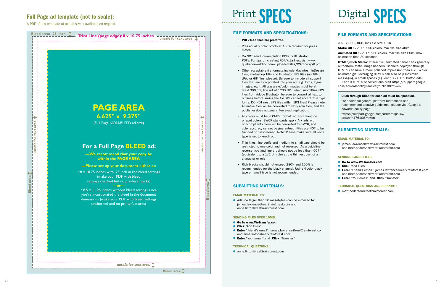

## Print **SPECS**

### Full Page ad template (not to scale):

A PDF of this template at actual size is available on request.

## Digital SPECS

#### FILE FORMATS AND SPECIFICATIONS:

#### $\cdot$  PDF/X-1a files are preferred.

● Ads (no larger than 10 megabytes) can be e-mailed to: james.lawrence@reef2rainforest.com and anne.linton@reef2rainforest.com

JPG: 72 DPI, RGB, max file size 40kb Static GIF: 72 DPI, 256 colors, max file size 40kb Animated GIF: 72 DPI, 256 colors, max file size 60kb, max animation time 30 seconds

- Press-quality color proofs at 100% required for press match.
- Do NOT send low-resolution PDFs or Illustrator PDFs. For tips on creating PDF/X-1a files, visit www. quebecorworldinc.com/uploadedFiles/CS/how2pdf.pdf
- Other acceptable file formats include Macintosh InDesign files, Photoshop Tiffs and Illustrator EPS files (no Tiff-It, JPeg or GIF files, please). Be sure to include all support files that are incorporated into your ad (e.g. fonts, logos, images, etc.). All grayscale/color images must be at least 300 dpi; line art at 1200 DPI. When submitting EPS files from Adobe Illustrator, be sure to convert all text to outlines before saving the file. We cannot accept True Type fonts. DO NOT nest EPS files within EPS files! Please note: All native files will be converted to PDF/X-1a files, and the publisher does not guarantee exact replication.
- All colors must be in CMYK format: no RGB, Pantone or spot colors. SWOP standards apply. Any ads with noncompliant colors will be converted to CMYK, and color accuracy cannot be guaranteed. Files are NOT to be trapped or prescreened. Note: Please make sure all white type is set to knock out.
- Thin lines, fine serifs and medium to small type should be restricted to one color and not reversed. As a guideline, reverse type and line art should not be less than .007" (equivalent to a 1/2 pt. rule) at the thinnest part of a character or rule.
- Rich blacks should not exceed 280% and 100% is recommended for the black channel. Using 4-color black type on small type is not recommended.

**HTML5/Rich Media:** Interactive, animated banner ads generally outperform static image banners. Banners deployed through HTML5 can have a more polished impression than a 256-color animated gif. Leveraging HTML5 can also help maximize messaging in small spaces (eg. our 135 X 135 button ads).

● james.lawrence@reef2rainforest.com and matt.pedersen@reef2rainforest.com

#### SUBMITTING MATERIALS:

#### EMAIL MATERIAL TO:

#### SENDING FILES OVER 10MB:

- Go to www.WeTransfer.com
- Click "Add Files"
- Enter "Friend's email": james.lawrence@reef2rainforest.com and anne.linton@reef2rainforest.com
- **Enter** "Your email" and **Click** "Transfer"

#### TECHNICAL QUESTIONS:

● anne.linton@reef2rainforest.com

#### FILE FORMATS AND SPECIFICATIONS:

For full HTML5 specifications, visit https://support.google. com/adwordspolicy/answer/176108?hl=en

#### Click-through URLs for each ad must be specified.

For additional general platform restrictions and recommended creative guidelines, please visit Google's Adwords policy page:

https://support.google.com/adwordspolicy/ answer/176108?hl=en

#### SUBMITTING MATERIALS:

#### EMAIL MATERIAL TO:

#### SENDING LARGE FILES:

- Go to www.WeTransfer.com
- **Click** "Add Files"
- Enter "Friend's email": james.lawrence@reef2rainforest.com and matt.pedersen@reef2rainforest.com
- Enter "Your email" and Click "Transfer"

#### TECHNICAL QUESTIONS AND SUPPORT:

● matt.pedersen@reef2rainforest.com